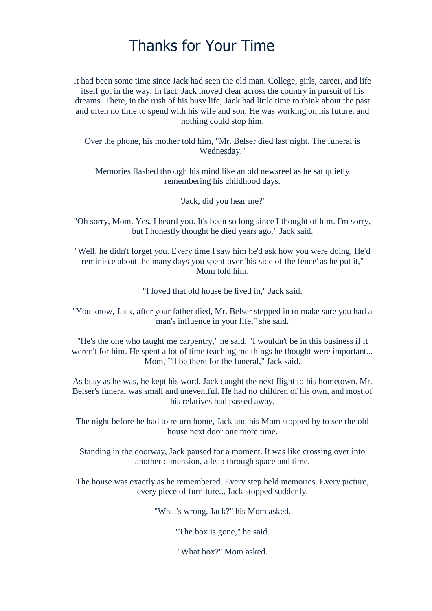## Thanks for Your Time

It had been some time since Jack had seen the old man. College, girls, career, and life itself got in the way. In fact, Jack moved clear across the country in pursuit of his dreams. There, in the rush of his busy life, Jack had little time to think about the past and often no time to spend with his wife and son. He was working on his future, and nothing could stop him.

Over the phone, his mother told him, "Mr. Belser died last night. The funeral is Wednesday."

Memories flashed through his mind like an old newsreel as he sat quietly remembering his childhood days.

"Jack, did you hear me?"

"Oh sorry, Mom. Yes, I heard you. It's been so long since I thought of him. I'm sorry, but I honestly thought he died years ago," Jack said.

"Well, he didn't forget you. Every time I saw him he'd ask how you were doing. He'd reminisce about the many days you spent over 'his side of the fence' as he put it," Mom told him.

"I loved that old house he lived in," Jack said.

"You know, Jack, after your father died, Mr. Belser stepped in to make sure you had a man's influence in your life," she said.

"He's the one who taught me carpentry," he said. "I wouldn't be in this business if it weren't for him. He spent a lot of time teaching me things he thought were important... Mom, I'll be there for the funeral," Jack said.

As busy as he was, he kept his word. Jack caught the next flight to his hometown. Mr. Belser's funeral was small and uneventful. He had no children of his own, and most of his relatives had passed away.

The night before he had to return home, Jack and his Mom stopped by to see the old house next door one more time.

Standing in the doorway, Jack paused for a moment. It was like crossing over into another dimension, a leap through space and time.

The house was exactly as he remembered. Every step held memories. Every picture, every piece of furniture... Jack stopped suddenly.

"What's wrong, Jack?" his Mom asked.

"The box is gone," he said.

"What box?" Mom asked.